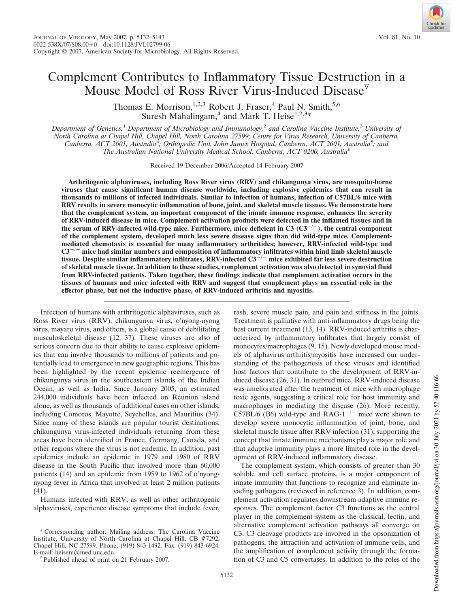# Complement Contributes to Inflammatory Tissue Destruction in a Mouse Model of Ross River Virus-Induced Disease<sup> $\triangledown$ </sup>

Thomas E. Morrison,<sup>1,2,3</sup> Robert J. Fraser,<sup>4</sup> Paul N. Smith,<sup>5,6</sup> Suresh Mahalingam,<sup>4</sup> and Mark T. Heise<sup>1,2,3</sup>\*

*Department of Genetics,*<sup>1</sup> *Department of Microbiology and Immunology,*<sup>2</sup> *and Carolina Vaccine Institute,*<sup>3</sup> *University of North Carolina at Chapel Hill, Chapel Hill, North Carolina 27599; Centre for Virus Research, University of Canberra,* Canberra, ACT 2601, Australia<sup>4</sup>; Orthopedic Unit, John James Hospital, Canberra, ACT 2601, Australia<sup>5</sup>; and *The Australian National University Medical School, Canberra, ACT 0200, Australia*<sup>6</sup>

Received 19 December 2006/Accepted 14 February 2007

**Arthritogenic alphaviruses, including Ross River virus (RRV) and chikungunya virus, are mosquito-borne viruses that cause significant human disease worldwide, including explosive epidemics that can result in thousands to millions of infected individuals. Similar to infection of humans, infection of C57BL/6 mice with RRV results in severe monocytic inflammation of bone, joint, and skeletal muscle tissues. We demonstrate here that the complement system, an important component of the innate immune response, enhances the severity of RRV-induced disease in mice. Complement activation products were detected in the inflamed tissues and in the serum of RRV-infected wild-type mice. Furthermore, mice deficient in C3 (C3/ ), the central component of the complement system, developed much less severe disease signs than did wild-type mice. Complementmediated chemotaxis is essential for many inflammatory arthritides; however, RRV-infected wild-type and C3/ mice had similar numbers and composition of inflammatory infiltrates within hind limb skeletal muscle tissue. Despite similar inflammatory infiltrates, RRV-infected C3/ mice exhibited far less severe destruction of skeletal muscle tissue. In addition to these studies, complement activation was also detected in synovial fluid from RRV-infected patients. Taken together, these findings indicate that complement activation occurs in the tissues of humans and mice infected with RRV and suggest that complement plays an essential role in the effector phase, but not the inductive phase, of RRV-induced arthritis and myositis.**

Infection of humans with arthritogenic alphaviruses, such as Ross River virus (RRV), chikungunya virus, o'nyong-nyong virus, mayaro virus, and others, is a global cause of debilitating musculoskeletal disease (12, 37). These viruses are also of serious concern due to their ability to cause explosive epidemics that can involve thousands to millions of patients and potentially lead to emergence in new geographic regions. This has been highlighted by the recent epidemic reemergence of chikungunya virus in the southeastern islands of the Indian Ocean, as well as India. Since January 2005, an estimated 244,000 individuals have been infected on Réunion island alone, as well as thousands of additional cases on other islands, including Comoros, Mayotte, Seychelles, and Mauritius (34). Since many of these islands are popular tourist destinations, chikungunya virus-infected individuals returning from these areas have been identified in France, Germany, Canada, and other regions where the virus is not endemic. In addition, past epidemics include an epidemic in 1979 and 1980 of RRV disease in the South Pacific that involved more than 60,000 patients (14) and an epidemic from 1959 to 1962 of o'nyongnyong fever in Africa that involved at least 2 million patients (41).

Humans infected with RRV, as well as other arthritogenic alphaviruses, experience disease symptoms that include fever,

\* Corresponding author. Mailing address: The Carolina Vaccine Institute, University of North Carolina at Chapel Hill, CB #7292, Chapel Hill, NC 27599. Phone: (919) 843-1492. Fax: (919) 843-6924. E-mail: heisem@med.unc.edu.

rash, severe muscle pain, and pain and stiffness in the joints. Treatment is palliative with anti-inflammatory drugs being the best current treatment (13, 14). RRV-induced arthritis is characterized by inflammatory infiltrates that largely consist of monocytes/macrophages (9, 15). Newly developed mouse models of alphavirus arthritis/myositis have increased our understanding of the pathogenesis of these viruses and identified host factors that contribute to the development of RRV-induced disease (26, 31). In outbred mice, RRV-induced disease was ameliorated after the treatment of mice with macrophage toxic agents, suggesting a critical role for host immunity and macrophages in mediating the disease (26). More recently, C57BL/6 (B6) wild-type and RAG-1<sup> $-/-$ </sup> mice were shown to develop severe monocytic inflammation of joint, bone, and skeletal muscle tissue after RRV infection (31), supporting the concept that innate immune mechanisms play a major role and that adaptive immunity plays a more limited role in the development of RRV-induced inflammatory disease.

The complement system, which consists of greater than 30 soluble and cell surface proteins, is a major component of innate immunity that functions to recognize and eliminate invading pathogens (reviewed in reference 3). In addition, complement activation regulates downstream adaptive immune responses. The complement factor C3 functions as the central player in the complement system as the classical, lectin, and alternative complement activation pathways all converge on C3. C3 cleavage products are involved in the opsonization of pathogens, the attraction and activation of immune cells, and the amplification of complement activity through the formation of C3 and C5 convertases. In addition to the roles of the

 $\nabla$  Published ahead of print on 21 February 2007.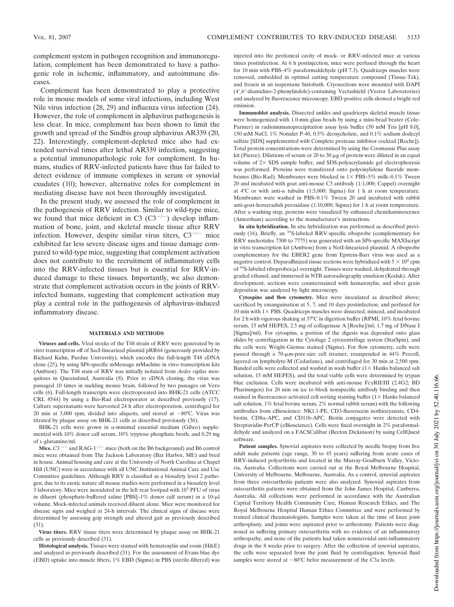complement system in pathogen recognition and immunoregulation, complement has been demonstrated to have a pathogenic role in ischemic, inflammatory, and autoimmune diseases.

Complement has been demonstrated to play a protective role in mouse models of some viral infections, including West Nile virus infection (28, 29) and influenza virus infection (24). However, the role of complement in alphavirus pathogenesis is less clear. In mice, complement has been shown to limit the growth and spread of the Sindbis group alphavirus AR339 (20, 22). Interestingly, complement-depleted mice also had extended survival times after lethal AR339 infection, suggesting a potential immunopathologic role for complement. In humans, studies of RRV-infected patients have thus far failed to detect evidence of immune complexes in serum or synovial exudates (10); however, alternative roles for complement in mediating disease have not been thoroughly investigated.

In the present study, we assessed the role of complement in the pathogenesis of RRV infection. Similar to wild-type mice, we found that mice deficient in C3  $(C3^{-/-})$  develop inflammation of bone, joint, and skeletal muscle tissue after RRV infection. However, despite similar virus titers,  $C3^{-/-}$  mice exhibited far less severe disease signs and tissue damage compared to wild-type mice, suggesting that complement activation does not contribute to the recruitment of inflammatory cells into the RRV-infected tissues but is essential for RRV-induced damage to these tissues. Importantly, we also demonstrate that complement activation occurs in the joints of RRVinfected humans, suggesting that complement activation may play a central role in the pathogenesis of alphavirus-induced inflammatory disease.

### **MATERIALS AND METHODS**

**Viruses and cells.** Viral stocks of the T48 strain of RRV were generated by in vitro transcription off of SacI-linearized plasmid pRR64 (generously provided by Richard Kuhn, Purdue University), which encodes the full-length T48 cDNA clone (25), by using SP6-specific mMessage mMachine in vitro transcription kits (Ambion). The T48 stain of RRV was initially isolated from *Aedes vigilax* mosquitoes in Queensland, Australia (8). Prior to cDNA cloning, the virus was passaged 10 times in suckling mouse brain, followed by two passages on Vero cells (6). Full-length transcripts were electroporated into BHK-21 cells (ATCC CRL 8544) by using a Bio-Rad electroporator as described previously (17). Culture supernatants were harvested 24 h after electroporation, centrifuged for 20 min at 3,000 rpm, divided into aliquots, and stored at  $-80^{\circ}$ C. Virus was titrated by plaque assay on BHK-21 cells as described previously (36).

BHK-21 cells were grown in  $\alpha$ -minimal essential medium (Gibco) supplemented with 10% donor calf serum, 10% tryptose phosphate broth, and 0.29 mg of L-glutamine/ml.

Mice.  $C3^{-/-}$  and RAG-1<sup> $-/-$ </sup> mice (both on the B6 background) and B6 control mice were obtained from The Jackson Laboratory (Bar Harbor, ME) and bred in house. Animal housing and care at the University of North Carolina at Chapel Hill (UNC) were in accordance with all UNC Institutional Animal Care and Use Committee guidelines. Although RRV is classified as a biosafety level 2 pathogen, due to its exotic nature all mouse studies were performed in a biosafety level 3 laboratory. Mice were inoculated in the left rear footpad with 10<sup>3</sup> PFU of virus in diluent (phosphate-buffered saline [PBS]-1% donor calf serum) in a 10- $\mu$ l volume. Mock-infected animals received diluent alone. Mice were monitored for disease signs and weighed at 24-h intervals. The clinical signs of disease were determined by assessing grip strength and altered gait as previously described (31).

**Virus titers.** RRV tissue titers were determined by plaque assay on BHK-21 cells as previously described (31).

**Histological analysis.** Tissues were stained with hematoxylin and eosin (H&E) and analyzed as previously described (31). For the assessment of Evans blue dye (EBD) uptake into muscle fibers, 1% EBD (Sigma) in PBS (sterile-filtered) was injected into the peritoneal cavity of mock- or RRV-infected mice at various times postinfection. At 6 h postinjection, mice were perfused through the heart for 10 min with PBS–4% paraformaldehyde (pH 7.3). Quadriceps muscles were removed, embedded in optimal cutting temperature compound (Tissue-Tek), and frozen in an isopentane histobath. Cryosections were mounted with DAPI (4,6-diamidino-2-phenylindole)-containing Vectashield (Vector Laboratories) and analyzed by fluorescence microscopy. EBD-positive cells showed a bright red emission.

**Immunoblot analysis.** Dissected ankles and quadriceps skeletal muscle tissue were homogenized with 1.0-mm glass beads by using a mini-bead beater (Cole-Parmer) in radioimmunoprecipitation assay lysis buffer (50 mM Tris [pH 8.0], 150 mM NaCl, 1% Nonidet P-40, 0.5% deoxycholate, and 0.1% sodium dodecyl sulfate [SDS] supplemented with Complete protease inhibitor cocktail [Roche]). Total protein concentrations were determined by using the Coomassie Plus assay kit (Pierce). Dilutions of serum or 20 to 30  $\mu$ g of protein were diluted in an equal volume of  $2\times$  SDS sample buffer, and SDS-polyacrylamide gel electrophoresis was performed. Proteins were transferred onto polyvinylidene fluoride membranes (Bio-Rad). Membranes were blocked in  $1 \times PBS-5\%$  milk-0.1% Tween 20 and incubated with goat anti-mouse C3 antibody (1:1,000; Cappel) overnight at  $4^{\circ}$ C or with anti- $\alpha$  tubulin (1:5,000; Sigma) for 1 h at room temperature. Membranes were washed in PBS–0.1% Tween 20 and incubated with rabbit anti-goat-horseradish peroxidase (1:10,000; Sigma) for 1 h at room temperature. After a washing step, proteins were visualized by enhanced chemiluminescence (Amersham) according to the manufacturer's instructions.

**In situ hybridization.** In situ hybridization was performed as described previously (16). Briefly, an <sup>35</sup>S-labeled RRV-specific riboprobe (complementary for RRV nucleotides 7300 to 7775) was generated with an SP6-specific MAXIscript in vitro transcription kit (Ambion) from a NotI-linearized plasmid. A riboprobe complementary for the EBER2 gene from Epstein-Barr virus was used as a negative control. Deparaffinized tissue sections were hybridized with  $5 \times 10^4$  cpm of <sup>35</sup>S-labeled riboprobes/µl overnight. Tissues were washed, dehydrated through graded ethanol, and immersed in NTB autoradiography emulsion (Kodak). After development, sections were counterstained with hematoxylin, and silver grain deposition was analyzed by light microscopy.

**Cytospins and flow cytometry.** Mice were inoculated as described above; sacrificed by exsanguination at 5, 7, and 10 days postinfection; and perfused for 10 min with  $1\times$  PBS. Quadriceps muscles were dissected, minced, and incubated for 2 h with vigorous shaking at 37°C in digestion buffer (RPMI, 10% fetal bovine serum, 15 mM HEPES, 2.5 mg of collagenase A [Roche]/ml, 1.7 mg of DNase I [Sigma]/ml). For cytospins, a portion of the digests was deposited onto glass slides by centrifugation in the Cytofuge 2 cytocentrifuge system (StatSpin), and the cells were Wright-Giemsa stained (Sigma). For flow cytometry, cells were passed through a 70-µm-pore-size cell strainer, resuspended in 44% Percoll, layered on lympholyte-M (Cedarlane), and centrifuged for 30 min at 2,500 rpm. Banded cells were collected and washed in wash buffer  $(1 \times$  Hanks balanced salt solution, 15 mM HEPES), and the total viable cells were determined by trypan blue exclusion. Cells were incubated with anti-mouse  $Fe\gamma RII/III$  (2.4G2; BD Pharmingen) for 20 min on ice to block nonspecific antibody binding and then stained in fluorescence-activated cell sorting staining buffer  $(1 \times$  Hanks balanced salt solution, 1% fetal bovine serum, 2% normal rabbit serum) with the following antibodies from eBioscience: NK1.1-PE, CD3-fluorescein isothiocyanate, CD4 biotin,  $CD8\alpha$ -APC, and CD11b-APC. Biotin conjugates were detected with Streptavidin-PerCP (eBioscience). Cells were fixed overnight in 2% paraformaldehyde and analyzed on a FACSCalibur (Becton Dickinson) by using CellQuest software.

**Patient samples.** Synovial aspirates were collected by needle biopsy from five adult male patients (age range, 30 to 45 years) suffering from acute cases of RRV-induced polyarthritis and located in the Murray-Goulburn Valley, Victoria, Australia. Collections were carried out at the Royal Melbourne Hospital, University of Melbourne, Melbourne, Australia. As a control, synovial aspirates from three osteoarthritis patients were also analyzed. Synovial aspirates from osteoarthritis patients were obtained from the John James Hospital, Canberra, Australia. All collections were performed in accordance with the Australian Capital Territory Health Community Care, Human Research Ethics, and The Royal Melbourne Hospital Human Ethics Committee and were performed by trained clinical rheumatologists. Samples were taken at the time of knee joint arthroplasty, and joints were aspirated prior to arthrotomy. Patients were diagnosed as suffering primary osteoarthritis with no evidence of an inflammatory arthropathy, and none of the patients had taken nonsteroidal anti-inflammatory drugs in the 8 weeks prior to surgery. After the collection of synovial aspirates, the cells were separated from the joint fluid by centrifugation. Synovial fluid samples were stored at  $-80^{\circ}$ C befor measurement of the C3a levels.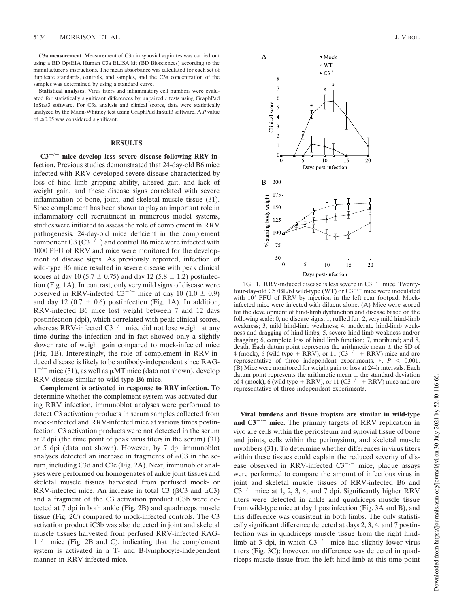**C3a measurement.** Measurement of C3a in synovial aspirates was carried out using a BD OptEIA Human C3a ELISA kit (BD Biosciences) according to the manufacturer's instructions. The mean absorbance was calculated for each set of duplicate standards, controls, and samples, and the C3a concentration of the samples was determined by using a standard curve.

**Statistical analyses.** Virus titers and inflammatory cell numbers were evaluated for statistically significant differences by unpaired *t* tests using GraphPad InStat3 software. For C3a analysis and clinical scores, data were statistically analyzed by the Mann-Whitney test using GraphPad InStat3 software. A *P* value of  $\leq 0.05$  was considered significant.

## **RESULTS**

C3<sup>-/-</sup> mice develop less severe disease following RRV in**fection.** Previous studies demonstrated that 24-day-old B6 mice infected with RRV developed severe disease characterized by loss of hind limb gripping ability, altered gait, and lack of weight gain, and these disease signs correlated with severe inflammation of bone, joint, and skeletal muscle tissue (31). Since complement has been shown to play an important role in inflammatory cell recruitment in numerous model systems, studies were initiated to assess the role of complement in RRV pathogenesis. 24-day-old mice deficient in the complement component C3  $(C3^{-/-})$  and control B6 mice were infected with 1000 PFU of RRV and mice were monitored for the development of disease signs. As previously reported, infection of wild-type B6 mice resulted in severe disease with peak clinical scores at day 10 (5.7  $\pm$  0.75) and day 12 (5.8  $\pm$  1.2) postinfection (Fig. 1A). In contrast, only very mild signs of disease were observed in RRV-infected  $C3^{-/-}$  mice at day 10 (1.0  $\pm$  0.9) and day 12 (0.7  $\pm$  0.6) postinfection (Fig. 1A). In addition, RRV-infected B6 mice lost weight between 7 and 12 days postinfection (dpi), which correlated with peak clinical scores, whereas RRV-infected  $C3^{-/-}$  mice did not lose weight at any time during the infection and in fact showed only a slightly slower rate of weight gain compared to mock-infected mice (Fig. 1B). Interestingly, the role of complement in RRV-induced disease is likely to be antibody-independent since RAG- $1^{-/-}$  mice (31), as well as  $\mu$ MT mice (data not shown), develop RRV disease similar to wild-type B6 mice.

**Complement is activated in response to RRV infection.** To determine whether the complement system was activated during RRV infection, immunoblot analyses were performed to detect C3 activation products in serum samples collected from mock-infected and RRV-infected mice at various times postinfection. C3 activation products were not detected in the serum at 2 dpi (the time point of peak virus titers in the serum) (31) or 5 dpi (data not shown). However, by 7 dpi immunoblot analyses detected an increase in fragments of  $\alpha$ C3 in the serum, including C3d and C3c (Fig. 2A). Next, immunoblot analyses were performed on homogenates of ankle joint tissues and skeletal muscle tissues harvested from perfused mock- or RRV-infected mice. An increase in total C3 ( $\beta$ C3 and  $\alpha$ C3) and a fragment of the C3 activation product iC3b were detected at 7 dpi in both ankle (Fig. 2B) and quadriceps muscle tissue (Fig. 2C) compared to mock-infected controls. The C3 activation product iC3b was also detected in joint and skeletal muscle tissues harvested from perfused RRV-infected RAG- $1^{-/-}$  mice (Fig. 2B and C), indicating that the complement system is activated in a T- and B-lymphocyte-independent manner in RRV-infected mice.



FIG. 1. RRV-induced disease is less severe in  $C3^{-/-}$  mice. Twentyfour-day-old C57BL/6J wild-type (WT) or  $C3^{-/-}$  mice were inoculated with  $10^3$  PFU of RRV by injection in the left rear footpad. Mockinfected mice were injected with diluent alone. (A) Mice were scored for the development of hind-limb dysfunction and disease based on the following scale: 0, no disease signs; 1, ruffled fur; 2, very mild hind-limb weakness; 3, mild hind-limb weakness; 4, moderate hind-limb weakness and dragging of hind limbs; 5, severe hind-limb weakness and/or dragging; 6, complete loss of hind limb function; 7, moribund; and 8, death. Each datum point represents the arithmetic mean  $\pm$  the SD of 4 (mock), 6 (wild type  $+$  RRV), or 11 (C3<sup>-/-</sup>  $+$  RRV) mice and are representative of three independent experiments.  $*, P < 0.001$ . (B) Mice were monitored for weight gain or loss at 24-h intervals. Each datum point represents the arithmetic mean  $\pm$  the standard deviation of 4 (mock), 6 (wild type  $+$  RRV), or 11 (C3<sup>-/-</sup>  $+$  RRV) mice and are representative of three independent experiments.

**Viral burdens and tissue tropism are similar in wild-type** and  $C3^{-/-}$  mice. The primary targets of RRV replication in vivo are cells within the periosteum and synovial tissue of bone and joints, cells within the perimysium, and skeletal muscle myofibers (31). To determine whether differences in virus titers within these tissues could explain the reduced severity of disease observed in RRV-infected  $C3^{-/-}$  mice, plaque assays were performed to compare the amount of infectious virus in joint and skeletal muscle tissues of RRV-infected B6 and  $C3^{-/-}$  mice at 1, 2, 3, 4, and 7 dpi. Significantly higher RRV titers were detected in ankle and quadriceps muscle tissue from wild-type mice at day 1 postinfection (Fig. 3A and B), and this difference was consistent in both limbs. The only statistically significant difference detected at days 2, 3, 4, and 7 postinfection was in quadriceps muscle tissue from the right hindlimb at 3 dpi, in which  $C3^{-/-}$  mice had slightly lower virus titers (Fig. 3C); however, no difference was detected in quadriceps muscle tissue from the left hind limb at this time point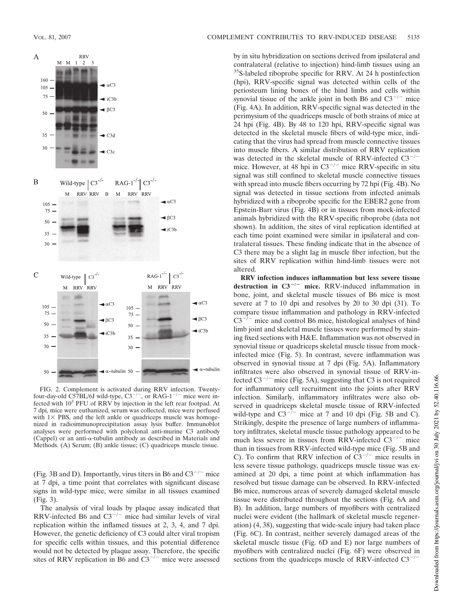

FIG. 2. Complement is activated during RRV infection. Twentyfour-day-old  $C57BL/6J$  wild-type,  $C3^{-/-}$ , or RAG-1<sup>-/-</sup> mice were infected with 10<sup>3</sup> PFU of RRV by injection in the left rear footpad. At 7 dpi, mice were euthanized, serum was collected, mice were perfused with  $1 \times$  PBS, and the left ankle or quadriceps muscle was homogenized in radioimmunoprecipitation assay lysis buffer. Immunoblot analyses were performed with polyclonal anti-murine C3 antibody (Cappel) or an anti- $\alpha$ -tubulin antibody as described in Materials and Methods. (A) Serum; (B) ankle tissue; (C) quadriceps muscle tissue.

(Fig. 3B and D). Importantly, virus titers in B6 and  $C3^{-/-}$  mice at 7 dpi, a time point that correlates with significant disease signs in wild-type mice, were similar in all tissues examined (Fig. 3).

The analysis of viral loads by plaque assay indicated that RRV-infected B6 and  $C3^{-/-}$  mice had similar levels of viral replication within the inflamed tissues at 2, 3, 4, and 7 dpi. However, the genetic deficiency of C3 could alter viral tropism for specific cells within tissues, and this potential difference would not be detected by plaque assay. Therefore, the specific sites of RRV replication in B6 and  $C3^{-/-}$  mice were assessed

by in situ hybridization on sections derived from ipsilateral and contralateral (relative to injection) hind-limb tissues using an <sup>35</sup>S-labeled riboprobe specific for RRV. At 24 h postinfection (hpi), RRV-specific signal was detected within cells of the periosteum lining bones of the hind limbs and cells within synovial tissue of the ankle joint in both B6 and  $C3^{-/-}$  mice (Fig. 4A). In addition, RRV-specific signal was detected in the perimysium of the quadriceps muscle of both strains of mice at 24 hpi (Fig. 4B). By 48 to 120 hpi, RRV-specific signal was detected in the skeletal muscle fibers of wild-type mice, indicating that the virus had spread from muscle connective tissues into muscle fibers. A similar distribution of RRV replication was detected in the skeletal muscle of RRV-infected  $C3^{-/-}$ mice. However, at 48 hpi in  $C3^{-/-}$  mice RRV-specific in situ signal was still confined to skeletal muscle connective tissues with spread into muscle fibers occurring by 72 hpi (Fig. 4B). No signal was detected in tissue sections from infected animals hybridized with a riboprobe specific for the EBER2 gene from Epstein-Barr virus (Fig. 4B) or in tissues from mock-infected animals hybridized with the RRV-specific riboprobe (data not shown). In addition, the sites of viral replication identified at each time point examined were similar in ipsilateral and contralateral tissues. These finding indicate that in the absence of C3 there may be a slight lag in muscle fiber infection, but the sites of RRV replication within hind-limb tissues were not altered.

**RRV infection induces inflammation but less severe tissue** destruction in C3<sup>-/-</sup> mice. RRV-induced inflammation in bone, joint, and skeletal muscle tissues of B6 mice is most severe at 7 to 10 dpi and resolves by 20 to 30 dpi (31). To compare tissue inflammation and pathology in RRV-infected  $C3^{-7}$  mice and control B6 mice, histological analyses of hind limb joint and skeletal muscle tissues were performed by staining fixed sections with H&E. Inflammation was not observed in synovial tissue or quadriceps skeletal muscle tissue from mockinfected mice (Fig. 5). In contrast, severe inflammation was observed in synovial tissue at 7 dpi (Fig. 5A). Inflammatory infiltrates were also observed in synovial tissue of RRV-infected  $C3^{-/-}$  mice (Fig. 5A), suggesting that C3 is not required for inflammatory cell recruitment into the joints after RRV infection. Similarly, inflammatory infiltrates were also observed in quadriceps skeletal muscle tissue of RRV-infected wild-type and  $C3^{-/-}$  mice at 7 and 10 dpi (Fig. 5B and C). Strikingly, despite the presence of large numbers of inflammatory infiltrates, skeletal muscle tissue pathology appeared to be much less severe in tissues from RRV-infected  $C3^{-/-}$  mice than in tissues from RRV-infected wild-type mice (Fig. 5B and C). To confirm that RRV infection of  $\overline{C3}^{-/-}$  mice results in less severe tissue pathology, quadriceps muscle tissue was examined at 20 dpi, a time point at which inflammation has resolved but tissue damage can be observed. In RRV-infected B6 mice, numerous areas of severely damaged skeletal muscle tissue were distributed throughout the sections (Fig. 6A and B). In addition, large numbers of myofibers with centralized nuclei were evident (the hallmark of skeletal muscle regeneration) (4, 38), suggesting that wide-scale injury had taken place (Fig. 6C). In contrast, neither severely damaged areas of the skeletal muscle tissue (Fig. 6D and E) nor large numbers of myofibers with centralized nuclei (Fig. 6F) were observed in sections from the quadriceps muscle of RRV-infected  $C3^{-/-}$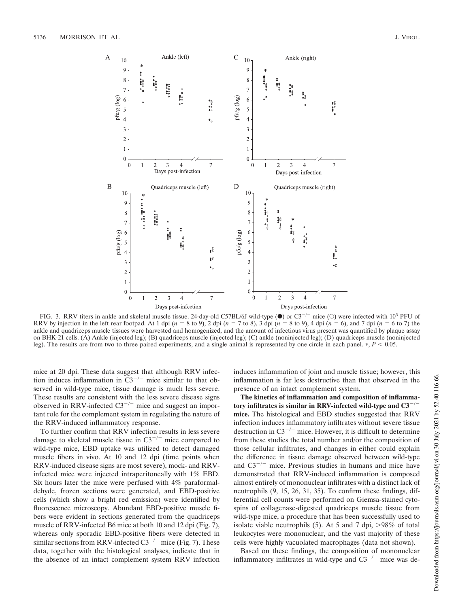

FIG. 3. RRV titers in ankle and skeletal muscle tissue. 24-day-old C57BL/6J wild-type ( $\bullet$ ) or C3<sup>-/-</sup> mice (O) were infected with 10<sup>3</sup> PFU of RRV by injection in the left rear footpad. At 1 dpi  $(n = 8 \text{ to } 9)$ , 2 dpi  $(n = 7 \text{ to } 8)$ , 3 dpi  $(n = 8 \text{ to } 9)$ , 4 dpi  $(n = 6)$ , and 7 dpi  $(n = 6 \text{ to } 7)$  the ankle and quadriceps muscle tissues were harvested and homogenized, and the amount of infectious virus present was quantified by plaque assay on BHK-21 cells. (A) Ankle (injected leg); (B) quadriceps muscle (injected leg); (C) ankle (noninjected leg); (D) quadriceps muscle (noninjected leg). The results are from two to three paired experiments, and a single animal is represented by one circle in each panel.  $P < 0.05$ .

mice at 20 dpi. These data suggest that although RRV infection induces inflammation in  $\overline{C3}^{-/-}$  mice similar to that observed in wild-type mice, tissue damage is much less severe. These results are consistent with the less severe disease signs observed in RRV-infected  $C3^{-/-}$  mice and suggest an important role for the complement system in regulating the nature of the RRV-induced inflammatory response.

To further confirm that RRV infection results in less severe damage to skeletal muscle tissue in  $C3^{-/-}$  mice compared to wild-type mice, EBD uptake was utilized to detect damaged muscle fibers in vivo. At 10 and 12 dpi (time points when RRV-induced disease signs are most severe), mock- and RRVinfected mice were injected intraperitoneally with 1% EBD. Six hours later the mice were perfused with 4% paraformaldehyde, frozen sections were generated, and EBD-positive cells (which show a bright red emission) were identified by fluorescence microscopy. Abundant EBD-positive muscle fibers were evident in sections generated from the quadriceps muscle of RRV-infected B6 mice at both 10 and 12 dpi (Fig. 7), whereas only sporadic EBD-positive fibers were detected in similar sections from RRV-infected  $C3^{-/-}$  mice (Fig. 7). These data, together with the histological analyses, indicate that in the absence of an intact complement system RRV infection induces inflammation of joint and muscle tissue; however, this inflammation is far less destructive than that observed in the presence of an intact complement system.

**The kinetics of inflammation and composition of inflammatory infiltrates is similar in RRV-infected wild-type and C3/ mice.** The histological and EBD studies suggested that RRV infection induces inflammatory infiltrates without severe tissue destruction in  $C3^{-/-}$  mice. However, it is difficult to determine from these studies the total number and/or the composition of those cellular infiltrates, and changes in either could explain the difference in tissue damage observed between wild-type and  $C3^{-/-}$  mice. Previous studies in humans and mice have demonstrated that RRV-induced inflammation is composed almost entirely of mononuclear infiltrates with a distinct lack of neutrophils (9, 15, 26, 31, 35). To confirm these findings, differential cell counts were performed on Giemsa-stained cytospins of collagenase-digested quadriceps muscle tissue from wild-type mice, a procedure that has been successfully used to isolate viable neutrophils (5). At 5 and 7 dpi,  $>98\%$  of total leukocytes were mononuclear, and the vast majority of these cells were highly vacuolated macrophages (data not shown).

Based on these findings, the composition of mononuclear inflammatory infiltrates in wild-type and  $C3^{-/-}$  mice was de-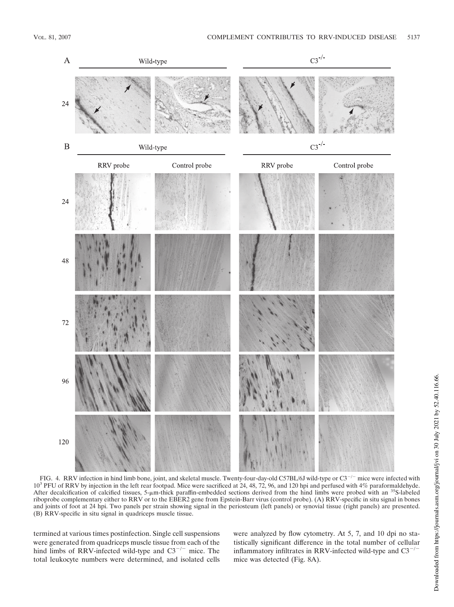

FIG. 4. RRV infection in hind limb bone, joint, and skeletal muscle. Twenty-four-day-old C57BL/6J wild-type or  $C3^{-/-}$  mice were infected with 10<sup>3</sup> PFU of RRV by injection in the left rear footpad. Mice were sacrificed at 24, 48, 72, 96, and 120 hpi and perfused with 4% paraformaldehyde. After decalcification of calcified tissues, 5- $\mu$ m-thick paraffin-embedded sections derived from the hind limbs were probed with an <sup>35</sup>S-labeled riboprobe complementary either to RRV or to the EBER2 gene from Epstein-Barr virus (control probe). (A) RRV-specific in situ signal in bones and joints of foot at 24 hpi. Two panels per strain showing signal in the periosteum (left panels) or synovial tissue (right panels) are presented. (B) RRV-specific in situ signal in quadriceps muscle tissue.

termined at various times postinfection. Single cell suspensions were generated from quadriceps muscle tissue from each of the hind limbs of RRV-infected wild-type and  $C3^{-/-}$  mice. The total leukocyte numbers were determined, and isolated cells were analyzed by flow cytometry. At 5, 7, and 10 dpi no statistically significant difference in the total number of cellular inflammatory infiltrates in RRV-infected wild-type and  $C3^{-/-}$ mice was detected (Fig. 8A).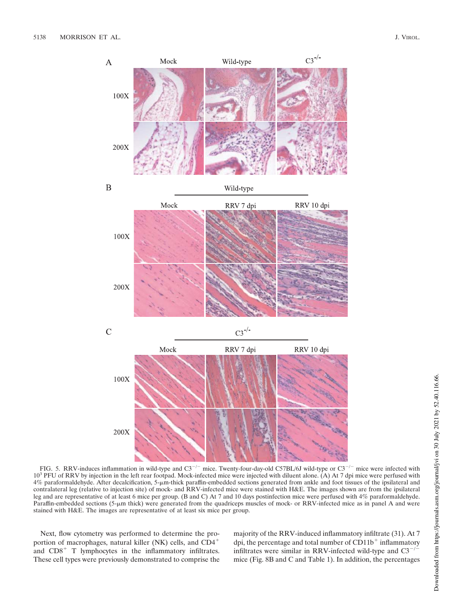

FIG. 5. RRV-induces inflammation in wild-type and  $C3^{-/-}$  mice. Twenty-four-day-old C57BL/6J wild-type or  $C3^{-/-}$  mice were infected with 10<sup>3</sup> PFU of RRV by injection in the left rear footpad. Mock-infected mice were injected with diluent alone. (A) At 7 dpi mice were perfused with 4% paraformaldehyde. After decalcification, 5-m-thick paraffin-embedded sections generated from ankle and foot tissues of the ipsilateral and contralateral leg (relative to injection site) of mock- and RRV-infected mice were stained with H&E. The images shown are from the ipsilateral leg and are representative of at least 6 mice per group. (B and C) At 7 and 10 days postinfection mice were perfused with 4% paraformaldehyde. Paraffin-embedded sections (5-µm thick) were generated from the quadriceps muscles of mock- or RRV-infected mice as in panel A and were stained with H&E. The images are representative of at least six mice per group.

Next, flow cytometry was performed to determine the proportion of macrophages, natural killer (NK) cells, and CD4 and  $CD8<sup>+</sup>$  T lymphocytes in the inflammatory infiltrates. These cell types were previously demonstrated to comprise the majority of the RRV-induced inflammatory infiltrate (31). At 7 dpi, the percentage and total number of CD11b inflammatory infiltrates were similar in RRV-infected wild-type and  $C3^{-/-}$ mice (Fig. 8B and C and Table 1). In addition, the percentages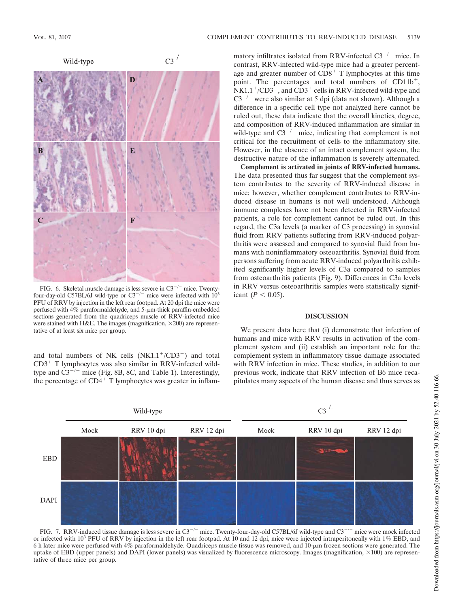

FIG. 6. Skeletal muscle damage is less severe in  $C3^{-/-}$  mice. Twentyfour-day-old C57BL/6J wild-type or  $C3^{-/-}$  mice were infected with  $10^3$ PFU of RRV by injection in the left rear footpad. At 20 dpi the mice were perfused with  $4\%$  paraformaldehyde, and  $5$ - $\mu$ m-thick paraffin-embedded sections generated from the quadriceps muscle of RRV-infected mice were stained with H&E. The images (magnification,  $\times$ 200) are representative of at least six mice per group.

and total numbers of NK cells  $(NK1.1<sup>+/CD3<sup>-</sup>)</sup>$  and total  $CD3<sup>+</sup>$  T lymphocytes was also similar in RRV-infected wildtype and  $C3^{-/-}$  mice (Fig. 8B, 8C, and Table 1). Interestingly, the percentage of  $CD4^+$  T lymphocytes was greater in inflam-

matory infiltrates isolated from RRV-infected  $C3^{-/-}$  mice. In contrast, RRV-infected wild-type mice had a greater percentage and greater number of  $CD8<sup>+</sup>$  T lymphocytes at this time point. The percentages and total numbers of CD11b<sup>+</sup>,  $NK1.1^+$ /CD3 $^-$ , and CD3<sup>+</sup> cells in RRV-infected wild-type and  $C3^{-/-}$  were also similar at 5 dpi (data not shown). Although a difference in a specific cell type not analyzed here cannot be ruled out, these data indicate that the overall kinetics, degree, and composition of RRV-induced inflammation are similar in wild-type and  $C3^{-/-}$  mice, indicating that complement is not critical for the recruitment of cells to the inflammatory site. However, in the absence of an intact complement system, the destructive nature of the inflammation is severely attenuated.

**Complement is activated in joints of RRV-infected humans.** The data presented thus far suggest that the complement system contributes to the severity of RRV-induced disease in mice; however, whether complement contributes to RRV-induced disease in humans is not well understood. Although immune complexes have not been detected in RRV-infected patients, a role for complement cannot be ruled out. In this regard, the C3a levels (a marker of C3 processing) in synovial fluid from RRV patients suffering from RRV-induced polyarthritis were assessed and compared to synovial fluid from humans with noninflammatory osteoarthritis. Synovial fluid from persons suffering from acute RRV-induced polyarthritis exhibited significantly higher levels of C3a compared to samples from osteoarthritis patients (Fig. 9). Differences in C3a levels in RRV versus osteoarthritis samples were statistically significant  $(P < 0.05)$ .

## **DISCUSSION**

We present data here that (i) demonstrate that infection of humans and mice with RRV results in activation of the complement system and (ii) establish an important role for the complement system in inflammatory tissue damage associated with RRV infection in mice. These studies, in addition to our previous work, indicate that RRV infection of B6 mice recapitulates many aspects of the human disease and thus serves as



FIG. 7. RRV-induced tissue damage is less severe in  $C3^{-/-}$  mice. Twenty-four-day-old C57BL/6J wild-type and  $C3^{-/-}$  mice were mock infected or infected with  $10^3$  PFU of RRV by injection in the left rear footpad. At 10 and 12 dpi, mice were injected intraperitoneally with  $1\%$  EBD, and 6 h later mice were perfused with 4% paraformaldehyde. Quadriceps muscle tissue was removed, and 10-m frozen sections were generated. The uptake of EBD (upper panels) and DAPI (lower panels) was visualized by fluorescence microscopy. Images (magnification,  $\times 100$ ) are representative of three mice per group.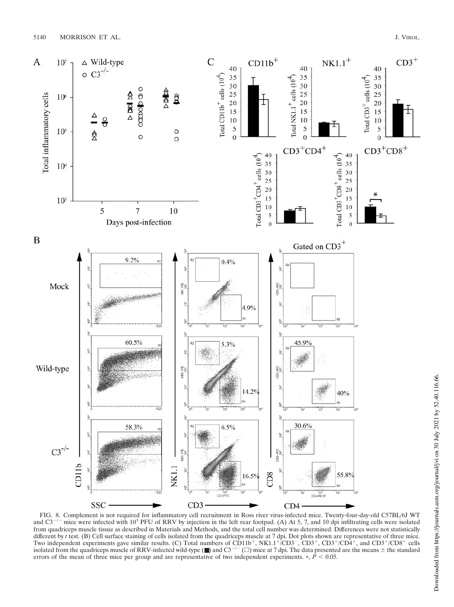

FIG. 8. Complement is not required for inflammatory cell recruitment in Ross river virus-infected mice. Twenty-four-day-old C57BL/6J WT and C3<sup>-/-</sup> mice were infected with 10<sup>3</sup> PFU of RRV by injection in the left rear footpad. (A) At 5, 7, and 10 dpi infiltrating cells were isolated from quadriceps muscle tissue as described in Materials and Methods, and the total cell number was determined. Differences were not statistically different by *t* test. (B) Cell surface staining of cells isolated from the quadriceps muscle at 7 dpi. Dot plots shown are representative of three mice. Two independent experiments gave similar results. (C) Total numbers of CD11b<sup>+</sup>, NK1.1<sup>+</sup>/CD3<sup>-</sup>, CD3<sup>+</sup>/CD4<sup>+</sup>, and CD3<sup>+</sup>/CD8<sup>+</sup> cells isolated from the quadriceps muscle of RRV-infected wild-type ( $\blacksquare$ ) and C3<sup>-/-</sup> ( $\square$ ) mice at 7 dpi. The data presented are the means  $\pm$  the standard errors of the mean of three mice per group and are representative of two independent experiments.  $\ast$ ,  $\dot{P}$  < 0.05.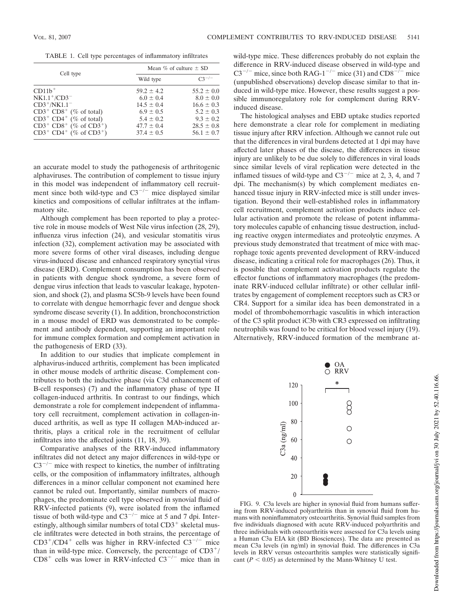TABLE 1. Cell type percentages of inflammatory infiltrates

| Cell type                                         | Mean $\%$ of culture $\pm$ SD |                |
|---------------------------------------------------|-------------------------------|----------------|
|                                                   | Wild type                     | $C3^{-/-}$     |
| $CD11b^+$                                         | $59.2 \pm 4.2$                | $55.2 \pm 0.0$ |
| $NK1.1^+/CD3^-$                                   | $6.0 \pm 0.4$                 | $8.0 \pm 0.0$  |
| $CD3+/NK1.1^-$                                    | $14.5 \pm 0.4$                | $16.6 \pm 0.3$ |
| $CD3^+$ $CD8^+$ (% of total)                      | $6.9 \pm 0.5$                 | $5.2 \pm 0.3$  |
| $CD3^+$ $CD4^+$ (% of total)                      | $5.4 \pm 0.2$                 | $9.3 \pm 0.2$  |
| $CD3^+$ $CD8^+$ (% of $CD3^+$ )                   | $47.7 \pm 0.4$                | $28.5 \pm 0.8$ |
| $CD3^+$ CD4 <sup>+</sup> (% of CD3 <sup>+</sup> ) | $37.4 \pm 0.5$                | $56.1 \pm 0.7$ |

an accurate model to study the pathogenesis of arthritogenic alphaviruses. The contribution of complement to tissue injury in this model was independent of inflammatory cell recruitment since both wild-type and  $C3^{-/-}$  mice displayed similar kinetics and compositions of cellular infiltrates at the inflammatory site.

Although complement has been reported to play a protective role in mouse models of West Nile virus infection (28, 29), influenza virus infection (24), and vesicular stomatitis virus infection (32), complement activation may be associated with more severe forms of other viral diseases, including dengue virus-induced disease and enhanced respiratory syncytial virus disease (ERD). Complement consumption has been observed in patients with dengue shock syndrome, a severe form of dengue virus infection that leads to vascular leakage, hypotension, and shock (2), and plasma SC5b-9 levels have been found to correlate with dengue hemorrhagic fever and dengue shock syndrome disease severity (1). In addition, bronchoconstriction in a mouse model of ERD was demonstrated to be complement and antibody dependent, supporting an important role for immune complex formation and complement activation in the pathogenesis of ERD (33).

In addition to our studies that implicate complement in alphavirus-induced arthritis, complement has been implicated in other mouse models of arthritic disease. Complement contributes to both the inductive phase (via C3d enhancement of B-cell responses) (7) and the inflammatory phase of type II collagen-induced arthritis. In contrast to our findings, which demonstrate a role for complement independent of inflammatory cell recruitment, complement activation in collagen-induced arthritis, as well as type II collagen MAb-induced arthritis, plays a critical role in the recruitment of cellular infiltrates into the affected joints (11, 18, 39).

Comparative analyses of the RRV-induced inflammatory infiltrates did not detect any major differences in wild-type or  $C3^{-/-}$  mice with respect to kinetics, the number of infiltrating cells, or the composition of inflammatory infiltrates, although differences in a minor cellular component not examined here cannot be ruled out. Importantly, similar numbers of macrophages, the predominate cell type observed in synovial fluid of RRV-infected patients (9), were isolated from the inflamed tissue of both wild-type and  $C3^{-/-}$  mice at 5 and 7 dpi. Interestingly, although similar numbers of total CD3<sup>+</sup> skeletal muscle infiltrates were detected in both strains, the percentage of  $CD3^+/CD4^+$  cells was higher in RRV-infected  $C3^{-/-}$  mice than in wild-type mice. Conversely, the percentage of  $CD3^{+}/$  $CD8<sup>+</sup>$  cells was lower in RRV-infected  $C3<sup>-/-</sup>$  mice than in

wild-type mice. These differences probably do not explain the difference in RRV-induced disease observed in wild-type and C3<sup>-/-</sup> mice, since both RAG-1<sup>-/-</sup> mice (31) and CD8<sup>-/-</sup> mice (unpublished observations) develop disease similar to that induced in wild-type mice. However, these results suggest a possible immunoregulatory role for complement during RRVinduced disease.

The histological analyses and EBD uptake studies reported here demonstrate a clear role for complement in mediating tissue injury after RRV infection. Although we cannot rule out that the differences in viral burdens detected at 1 dpi may have affected later phases of the disease, the differences in tissue injury are unlikely to be due solely to differences in viral loads since similar levels of viral replication were detected in the inflamed tissues of wild-type and  $C3^{-/-}$  mice at 2, 3, 4, and 7 dpi. The mechanism(s) by which complement mediates enhanced tissue injury in RRV-infected mice is still under investigation. Beyond their well-established roles in inflammatory cell recruitment, complement activation products induce cellular activation and promote the release of potent inflammatory molecules capable of enhancing tissue destruction, including reactive oxygen intermediates and proteolytic enzymes. A previous study demonstrated that treatment of mice with macrophage toxic agents prevented development of RRV-induced disease, indicating a critical role for macrophages (26). Thus, it is possible that complement activation products regulate the effector functions of inflammatory macrophages (the predominate RRV-induced cellular infiltrate) or other cellular infiltrates by engagement of complement receptors such as CR3 or CR4. Support for a similar idea has been demonstrated in a model of thrombohemorrhagic vasculitis in which interaction of the C3 split product iC3b with CR3 expressed on infiltrating neutrophils was found to be critical for blood vessel injury (19). Alternatively, RRV-induced formation of the membrane at-



FIG. 9. C3a levels are higher in synovial fluid from humans suffering from RRV-induced polyarthritis than in synovial fluid from humans with noninflammatory osteoarthritis. Synovial fluid samples from five individuals diagnosed with acute RRV-induced polyarthritis and three individuals with osteoarthritis were assessed for C3a levels using a Human C3a EIA kit (BD Biosciences). The data are presented as mean C3a levels (in ng/ml) in synovial fluid. The differences in C3a levels in RRV versus osteoarthritis samples were statistically significant  $(P < 0.05)$  as determined by the Mann-Whitney U test.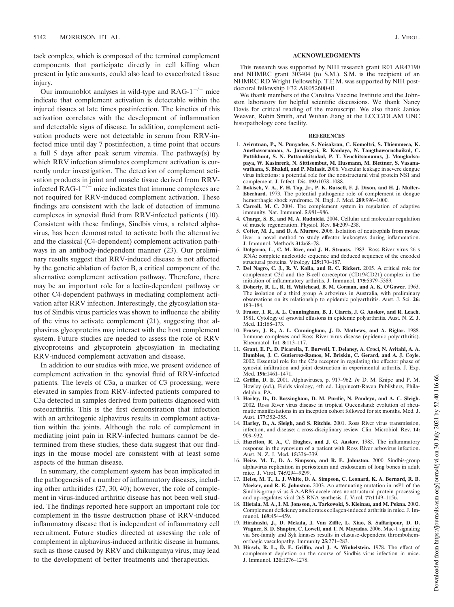tack complex, which is composed of the terminal complement components that participate directly in cell killing when present in lytic amounts, could also lead to exacerbated tissue injury.

Our immunoblot analyses in wild-type and  $RAG-1^{-/-}$  mice indicate that complement activation is detectable within the injured tissues at late times postinfection. The kinetics of this activation correlates with the development of inflammation and detectable signs of disease. In addition, complement activation products were not detectable in serum from RRV-infected mice until day 7 postinfection, a time point that occurs a full 5 days after peak serum viremia. The pathway(s) by which RRV infection stimulates complement activation is currently under investigation. The detection of complement activation products in joint and muscle tissue derived from RRVinfected RAG-1 $^{-/-}$  mice indicates that immune complexes are not required for RRV-induced complement activation. These findings are consistent with the lack of detection of immune complexes in synovial fluid from RRV-infected patients (10). Consistent with these findings, Sindbis virus, a related alphavirus, has been demonstrated to activate both the alternative and the classical (C4-dependent) complement activation pathways in an antibody-independent manner (23). Our preliminary results suggest that RRV-induced disease is not affected by the genetic ablation of factor B, a critical component of the alternative complement activation pathway. Therefore, there may be an important role for a lectin-dependent pathway or other C4-dependent pathways in mediating complement activation after RRV infection. Interestingly, the glycosylation status of Sindbis virus particles was shown to influence the ability of the virus to activate complement (21), suggesting that alphavirus glycoproteins may interact with the host complement system. Future studies are needed to assess the role of RRV glycoproteins and glycoprotein glycosylation in mediating RRV-induced complement activation and disease.

In addition to our studies with mice, we present evidence of complement activation in the synovial fluid of RRV-infected patients. The levels of C3a, a marker of C3 processing, were elevated in samples from RRV-infected patients compared to C3a detected in samples derived from patients diagnosed with osteoarthritis. This is the first demonstration that infection with an arthritogenic alphavirus results in complement activation within the joints. Although the role of complement in mediating joint pain in RRV-infected humans cannot be determined from these studies, these data suggest that our findings in the mouse model are consistent with at least some aspects of the human disease.

In summary, the complement system has been implicated in the pathogenesis of a number of inflammatory diseases, including other arthritides (27, 30, 40); however, the role of complement in virus-induced arthritic disease has not been well studied. The findings reported here support an important role for complement in the tissue destruction phase of RRV-induced inflammatory disease that is independent of inflammatory cell recruitment. Future studies directed at assessing the role of complement in alphavirus-induced arthritic disease in humans, such as those caused by RRV and chikungunya virus, may lead to the development of better treatments and therapeutics.

#### **ACKNOWLEDGMENTS**

This research was supported by NIH research grant R01 AR47190 and NHMRC grant 303404 (to S.M.). S.M. is the recipient of an NHMRC RD Wright Fellowship. T.E.M. was supported by NIH postdoctoral fellowship F32 AR052600-01.

We thank members of the Carolina Vaccine Institute and the Johnston laboratory for helpful scientific discussions. We thank Nancy Davis for critical reading of the manuscript. We also thank Janice Weaver, Robin Smith, and Wuhan Jiang at the LCCC/DLAM UNC histopathology core facility.

#### **REFERENCES**

- 1. **Avirutnan, P., N. Punyadee, S. Noisakran, C. Komoltri, S. Thiemmeca, K. Auethavornanan, A. Jairungsri, R. Kanlaya, N. Tangthawornchaikul, C. Puttikhunt, S. N. Pattanakitsakul, P. T. Yenchitsomanus, J. Mongkolsapaya, W. Kasinrerk, N. Sittisombut, M. Husmann, M. Blettner, S. Vasanawathana, S. Bhakdi, and P. Malasit.** 2006. Vascular leakage in severe dengue virus infections: a potential role for the nonstructural viral protein NS1 and complement. J. Infect. Dis. **193:**1078–1088.
- 2. **Bokisch, V. A., F. H. Top, Jr., P. K. Russell, F. J. Dixon, and H. J. Muller-Eberhard.** 1973. The potential pathogenic role of complement in dengue hemorrhagic shock syndrome. N. Engl. J. Med. **289:**996–1000.
- 3. **Carroll, M. C.** 2004. The complement system in regulation of adaptive immunity. Nat. Immunol. **5:**981–986.
- 4. **Charge, S. B., and M. A. Rudnicki.** 2004. Cellular and molecular regulation of muscle regeneration. Physiol. Rev. **84:**209–238.
- 5. **Cotter, M. J., and D. A. Muruve.** 2006. Isolation of neutrophils from mouse liver: a novel method to study effector leukocytes during inflammation. J. Immunol. Methods **312:**68–78.
- 6. **Dalgarno, L., C. M. Rice, and J. H. Strauss.** 1983. Ross River virus 26 s RNA: complete nucleotide sequence and deduced sequence of the encoded structural proteins. Virology **129:**170–187.
- 7. **Del Nagro, C. J., R. V. Kolla, and R. C. Rickert.** 2005. A critical role for complement C3d and the B-cell coreceptor (CD19/CD21) complex in the initiation of inflammatory arthritis. J. Immunol. **175:**5379–5389.
- 8. **Doherty, R. L., R. H. Whitehead, B. M. Gorman, and A. K. O'Gower.** 1963. The isolation of a third group A arbovirus in Australia, with preliminary observations on its relationship to epidemic polyarthritis. Aust. J. Sci. **26:** 183–184.
- 9. **Fraser, J. R., A. L. Cunningham, B. J. Clarris, J. G. Aaskov, and R. Leach.** 1981. Cytology of synovial effusions in epidemic polyarthritis. Aust. N. Z. J. Med. **11:**168–173.
- 10. **Fraser, J. R., A. L. Cunningham, J. D. Mathews, and A. Riglar.** 1988. Immune complexes and Ross River virus disease (epidemic polyarthritis). Rheumatol. Int. **8:**113–117.
- 11. **Grant, E. P., D. Picarella, T. Burwell, T. Delaney, A. Croci, N. Avitahl, A. A. Humbles, J. C. Gutierrez-Ramos, M. Briskin, C. Gerard, and A. J. Coyle.** 2002. Essential role for the C5a receptor in regulating the effector phase of synovial infiltration and joint destruction in experimental arthritis. J. Exp. Med. **196:**1461–1471.
- 12. **Griffin, D. E.** 2001. Alphaviruses, p. 917–962. *In* D. M. Knipe and P. M. Howley (ed.), Fields virology, 4th ed. Lippincott-Raven Publishers, Philadelphia, PA.
- 13. **Harley, D., D. Bossingham, D. M. Purdie, N. Pandeya, and A. C. Sleigh.** 2002. Ross River virus disease in tropical Queensland: evolution of rheumatic manifestations in an inception cohort followed for six months. Med. J. Aust. **177:**352–355.
- 14. **Harley, D., A. Sleigh, and S. Ritchie.** 2001. Ross River virus transmission, infection, and disease: a cross-disciplinary review. Clin. Microbiol. Rev. **14:** 909–932.
- 15. **Hazelton, R. A., C. Hughes, and J. G. Aaskov.** 1985. The inflammatory response in the synovium of a patient with Ross River arbovirus infection. Aust. N. Z. J. Med. **15:**336–339.
- 16. **Heise, M. T., D. A. Simpson, and R. E. Johnston.** 2000. Sindbis-group alphavirus replication in periosteum and endosteum of long bones in adult mice. J. Virol. **74:**9294–9299.
- 17. **Heise, M. T., L. J. White, D. A. Simpson, C. Leonard, K. A. Bernard, R. B. Meeker, and R. E. Johnston.** 2003. An attenuating mutation in nsP1 of the Sindbis-group virus S.A.AR86 accelerates nonstructural protein processing and up-regulates viral 26S RNA synthesis. J. Virol. **77:**1149–1156.
- 18. **Hietala, M. A., I. M. Jonsson, A. Tarkowski, S. Kleinau, and M. Pekna.** 2002. Complement deficiency ameliorates collagen-induced arthritis in mice. J. Immunol. **169:**454–459.
- 19. **Hirahashi, J., D. Mekala, J. Van Ziffle, L. Xiao, S. Saffaripour, D. D. Wagner, S. D. Shapiro, C. Lowell, and T. N. Mayadas.** 2006. Mac-1 signaling via Src-family and Syk kinases results in elastase-dependent thrombohemorrhagic vasculopathy. Immunity **25:**271–283.
- 20. **Hirsch, R. L., D. E. Griffin, and J. A. Winkelstein.** 1978. The effect of complement depletion on the course of Sindbis virus infection in mice. J. Immunol. **121:**1276–1278.